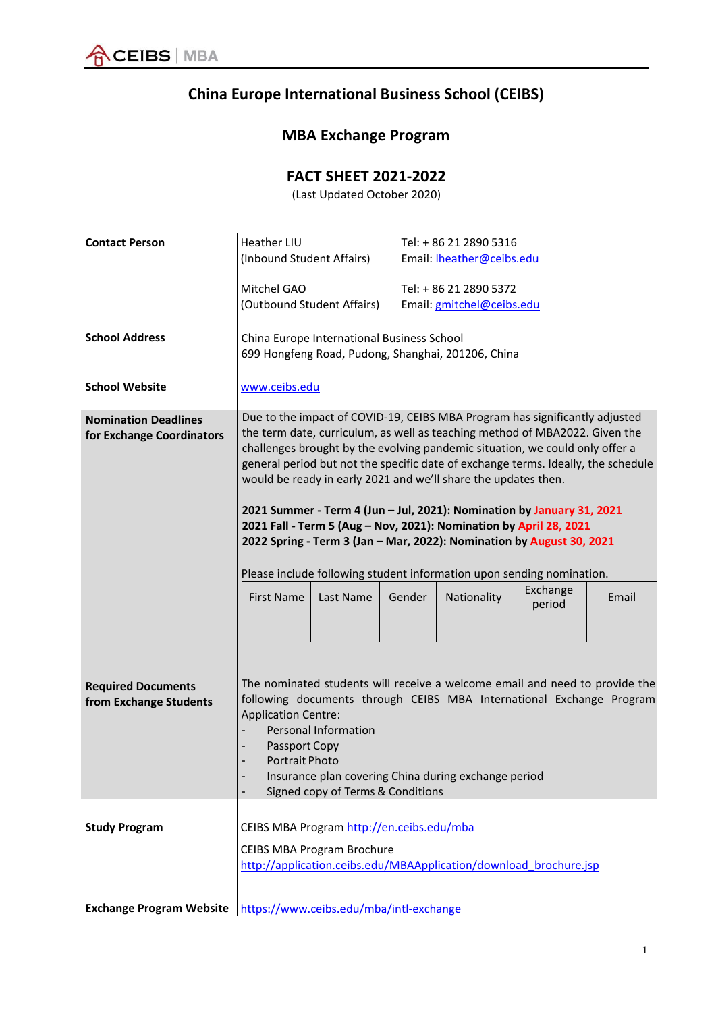

## **China Europe International Business School (CEIBS)**

## **MBA Exchange Program**

## **FACT SHEET 2021‐2022**

(Last Updated October 2020)

| <b>Contact Person</b>                                    | Heather LIU<br>(Inbound Student Affairs)                                                                                                                                                                                                                                                                                                                                                                                                                                                                                                                                                                                                                                                                                                                                            |  |  | Tel: + 86 21 2890 5316<br>Email: <b>Iheather@ceibs.edu</b> |                                                                   |  |
|----------------------------------------------------------|-------------------------------------------------------------------------------------------------------------------------------------------------------------------------------------------------------------------------------------------------------------------------------------------------------------------------------------------------------------------------------------------------------------------------------------------------------------------------------------------------------------------------------------------------------------------------------------------------------------------------------------------------------------------------------------------------------------------------------------------------------------------------------------|--|--|------------------------------------------------------------|-------------------------------------------------------------------|--|
|                                                          | Mitchel GAO<br>(Outbound Student Affairs)                                                                                                                                                                                                                                                                                                                                                                                                                                                                                                                                                                                                                                                                                                                                           |  |  | Tel: + 86 21 2890 5372<br>Email: gmitchel@ceibs.edu        |                                                                   |  |
| <b>School Address</b>                                    | China Europe International Business School<br>699 Hongfeng Road, Pudong, Shanghai, 201206, China                                                                                                                                                                                                                                                                                                                                                                                                                                                                                                                                                                                                                                                                                    |  |  |                                                            |                                                                   |  |
| <b>School Website</b>                                    | www.ceibs.edu                                                                                                                                                                                                                                                                                                                                                                                                                                                                                                                                                                                                                                                                                                                                                                       |  |  |                                                            |                                                                   |  |
| <b>Nomination Deadlines</b><br>for Exchange Coordinators | Due to the impact of COVID-19, CEIBS MBA Program has significantly adjusted<br>the term date, curriculum, as well as teaching method of MBA2022. Given the<br>challenges brought by the evolving pandemic situation, we could only offer a<br>general period but not the specific date of exchange terms. Ideally, the schedule<br>would be ready in early 2021 and we'll share the updates then.<br>2021 Summer - Term 4 (Jun - Jul, 2021): Nomination by January 31, 2021<br>2021 Fall - Term 5 (Aug - Nov, 2021): Nomination by April 28, 2021<br>2022 Spring - Term 3 (Jan - Mar, 2022): Nomination by August 30, 2021<br>Please include following student information upon sending nomination.<br>Exchange<br><b>First Name</b><br>Last Name<br>Gender<br>Nationality<br>Email |  |  |                                                            |                                                                   |  |
|                                                          |                                                                                                                                                                                                                                                                                                                                                                                                                                                                                                                                                                                                                                                                                                                                                                                     |  |  |                                                            | period                                                            |  |
| <b>Required Documents</b><br>from Exchange Students      | The nominated students will receive a welcome email and need to provide the<br>following documents through CEIBS MBA International Exchange Program<br><b>Application Centre:</b><br><b>Personal Information</b><br>Passport Copy<br><b>Portrait Photo</b><br>Insurance plan covering China during exchange period<br>Signed copy of Terms & Conditions                                                                                                                                                                                                                                                                                                                                                                                                                             |  |  |                                                            |                                                                   |  |
| <b>Study Program</b>                                     | CEIBS MBA Program http://en.ceibs.edu/mba<br><b>CEIBS MBA Program Brochure</b>                                                                                                                                                                                                                                                                                                                                                                                                                                                                                                                                                                                                                                                                                                      |  |  |                                                            |                                                                   |  |
|                                                          |                                                                                                                                                                                                                                                                                                                                                                                                                                                                                                                                                                                                                                                                                                                                                                                     |  |  |                                                            | http://application.ceibs.edu/MBAApplication/download brochure.jsp |  |
| <b>Exchange Program Website</b>                          | https://www.ceibs.edu/mba/intl-exchange                                                                                                                                                                                                                                                                                                                                                                                                                                                                                                                                                                                                                                                                                                                                             |  |  |                                                            |                                                                   |  |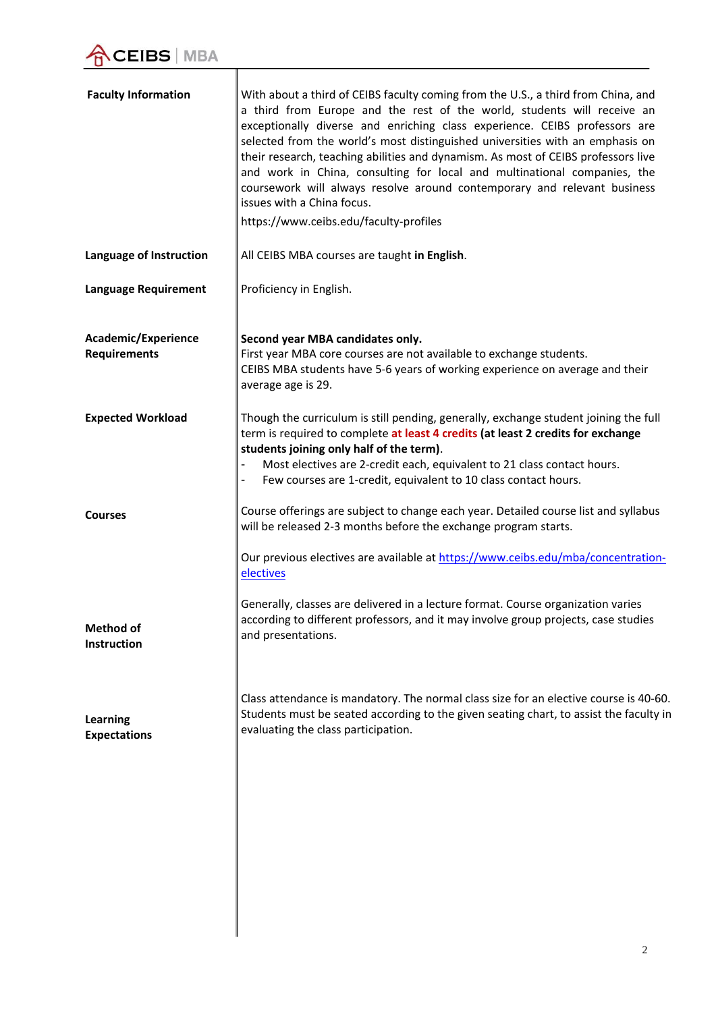$\overline{\mathbb{I}}$ 

| <b>Faculty Information</b>                 | With about a third of CEIBS faculty coming from the U.S., a third from China, and<br>a third from Europe and the rest of the world, students will receive an<br>exceptionally diverse and enriching class experience. CEIBS professors are<br>selected from the world's most distinguished universities with an emphasis on<br>their research, teaching abilities and dynamism. As most of CEIBS professors live<br>and work in China, consulting for local and multinational companies, the<br>coursework will always resolve around contemporary and relevant business<br>issues with a China focus.<br>https://www.ceibs.edu/faculty-profiles |
|--------------------------------------------|--------------------------------------------------------------------------------------------------------------------------------------------------------------------------------------------------------------------------------------------------------------------------------------------------------------------------------------------------------------------------------------------------------------------------------------------------------------------------------------------------------------------------------------------------------------------------------------------------------------------------------------------------|
| Language of Instruction                    | All CEIBS MBA courses are taught in English.                                                                                                                                                                                                                                                                                                                                                                                                                                                                                                                                                                                                     |
| <b>Language Requirement</b>                | Proficiency in English.                                                                                                                                                                                                                                                                                                                                                                                                                                                                                                                                                                                                                          |
| Academic/Experience<br><b>Requirements</b> | Second year MBA candidates only.<br>First year MBA core courses are not available to exchange students.<br>CEIBS MBA students have 5-6 years of working experience on average and their<br>average age is 29.                                                                                                                                                                                                                                                                                                                                                                                                                                    |
| <b>Expected Workload</b>                   | Though the curriculum is still pending, generally, exchange student joining the full<br>term is required to complete at least 4 credits (at least 2 credits for exchange<br>students joining only half of the term).<br>Most electives are 2-credit each, equivalent to 21 class contact hours.<br>Few courses are 1-credit, equivalent to 10 class contact hours.                                                                                                                                                                                                                                                                               |
| <b>Courses</b>                             | Course offerings are subject to change each year. Detailed course list and syllabus<br>will be released 2-3 months before the exchange program starts.                                                                                                                                                                                                                                                                                                                                                                                                                                                                                           |
|                                            | Our previous electives are available at https://www.ceibs.edu/mba/concentration-<br>electives                                                                                                                                                                                                                                                                                                                                                                                                                                                                                                                                                    |
| <b>Method of</b><br>Instruction            | Generally, classes are delivered in a lecture format. Course organization varies<br>according to different professors, and it may involve group projects, case studies<br>and presentations.                                                                                                                                                                                                                                                                                                                                                                                                                                                     |
| Learning<br><b>Expectations</b>            | Class attendance is mandatory. The normal class size for an elective course is 40-60.<br>Students must be seated according to the given seating chart, to assist the faculty in<br>evaluating the class participation.                                                                                                                                                                                                                                                                                                                                                                                                                           |
|                                            |                                                                                                                                                                                                                                                                                                                                                                                                                                                                                                                                                                                                                                                  |
|                                            |                                                                                                                                                                                                                                                                                                                                                                                                                                                                                                                                                                                                                                                  |
|                                            |                                                                                                                                                                                                                                                                                                                                                                                                                                                                                                                                                                                                                                                  |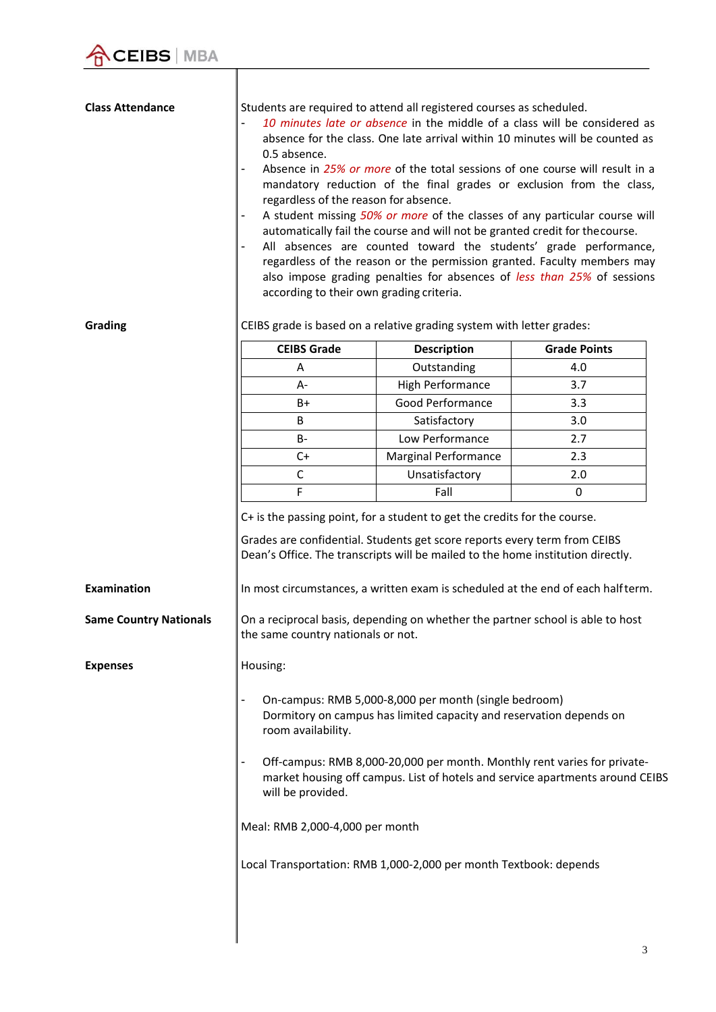$\parallel$ 

| <b>Class Attendance</b><br>Grading | Students are required to attend all registered courses as scheduled.<br>10 minutes late or absence in the middle of a class will be considered as<br>absence for the class. One late arrival within 10 minutes will be counted as<br>0.5 absence.<br>Absence in 25% or more of the total sessions of one course will result in a<br>mandatory reduction of the final grades or exclusion from the class,<br>regardless of the reason for absence.<br>A student missing 50% or more of the classes of any particular course will<br>automatically fail the course and will not be granted credit for the course.<br>All absences are counted toward the students' grade performance,<br>regardless of the reason or the permission granted. Faculty members may<br>also impose grading penalties for absences of less than 25% of sessions<br>according to their own grading criteria.<br>CEIBS grade is based on a relative grading system with letter grades: |                                                                                                                                                              |                                                                                 |  |  |  |
|------------------------------------|----------------------------------------------------------------------------------------------------------------------------------------------------------------------------------------------------------------------------------------------------------------------------------------------------------------------------------------------------------------------------------------------------------------------------------------------------------------------------------------------------------------------------------------------------------------------------------------------------------------------------------------------------------------------------------------------------------------------------------------------------------------------------------------------------------------------------------------------------------------------------------------------------------------------------------------------------------------|--------------------------------------------------------------------------------------------------------------------------------------------------------------|---------------------------------------------------------------------------------|--|--|--|
|                                    |                                                                                                                                                                                                                                                                                                                                                                                                                                                                                                                                                                                                                                                                                                                                                                                                                                                                                                                                                                |                                                                                                                                                              |                                                                                 |  |  |  |
|                                    | <b>CEIBS Grade</b>                                                                                                                                                                                                                                                                                                                                                                                                                                                                                                                                                                                                                                                                                                                                                                                                                                                                                                                                             | <b>Description</b>                                                                                                                                           | <b>Grade Points</b>                                                             |  |  |  |
|                                    | A                                                                                                                                                                                                                                                                                                                                                                                                                                                                                                                                                                                                                                                                                                                                                                                                                                                                                                                                                              | Outstanding                                                                                                                                                  | 4.0                                                                             |  |  |  |
|                                    | A-                                                                                                                                                                                                                                                                                                                                                                                                                                                                                                                                                                                                                                                                                                                                                                                                                                                                                                                                                             | High Performance                                                                                                                                             | 3.7                                                                             |  |  |  |
|                                    | $B+$                                                                                                                                                                                                                                                                                                                                                                                                                                                                                                                                                                                                                                                                                                                                                                                                                                                                                                                                                           | Good Performance                                                                                                                                             | 3.3                                                                             |  |  |  |
|                                    | B<br>$B -$                                                                                                                                                                                                                                                                                                                                                                                                                                                                                                                                                                                                                                                                                                                                                                                                                                                                                                                                                     | Satisfactory<br>Low Performance                                                                                                                              | 3.0<br>2.7                                                                      |  |  |  |
|                                    | $C+$                                                                                                                                                                                                                                                                                                                                                                                                                                                                                                                                                                                                                                                                                                                                                                                                                                                                                                                                                           | <b>Marginal Performance</b>                                                                                                                                  | 2.3                                                                             |  |  |  |
|                                    | $\mathsf C$                                                                                                                                                                                                                                                                                                                                                                                                                                                                                                                                                                                                                                                                                                                                                                                                                                                                                                                                                    | Unsatisfactory                                                                                                                                               | 2.0                                                                             |  |  |  |
|                                    | $\mathsf F$                                                                                                                                                                                                                                                                                                                                                                                                                                                                                                                                                                                                                                                                                                                                                                                                                                                                                                                                                    | Fall                                                                                                                                                         | 0                                                                               |  |  |  |
|                                    |                                                                                                                                                                                                                                                                                                                                                                                                                                                                                                                                                                                                                                                                                                                                                                                                                                                                                                                                                                | Grades are confidential. Students get score reports every term from CEIBS<br>Dean's Office. The transcripts will be mailed to the home institution directly. |                                                                                 |  |  |  |
| Examination                        |                                                                                                                                                                                                                                                                                                                                                                                                                                                                                                                                                                                                                                                                                                                                                                                                                                                                                                                                                                |                                                                                                                                                              | In most circumstances, a written exam is scheduled at the end of each halfterm. |  |  |  |
| <b>Same Country Nationals</b>      | On a reciprocal basis, depending on whether the partner school is able to host<br>the same country nationals or not.                                                                                                                                                                                                                                                                                                                                                                                                                                                                                                                                                                                                                                                                                                                                                                                                                                           |                                                                                                                                                              |                                                                                 |  |  |  |
| <b>Expenses</b>                    | Housing:                                                                                                                                                                                                                                                                                                                                                                                                                                                                                                                                                                                                                                                                                                                                                                                                                                                                                                                                                       |                                                                                                                                                              |                                                                                 |  |  |  |
|                                    | On-campus: RMB 5,000-8,000 per month (single bedroom)<br>Dormitory on campus has limited capacity and reservation depends on<br>room availability.<br>Off-campus: RMB 8,000-20,000 per month. Monthly rent varies for private-<br>market housing off campus. List of hotels and service apartments around CEIBS<br>will be provided.                                                                                                                                                                                                                                                                                                                                                                                                                                                                                                                                                                                                                           |                                                                                                                                                              |                                                                                 |  |  |  |
|                                    |                                                                                                                                                                                                                                                                                                                                                                                                                                                                                                                                                                                                                                                                                                                                                                                                                                                                                                                                                                |                                                                                                                                                              |                                                                                 |  |  |  |
|                                    | Meal: RMB 2,000-4,000 per month                                                                                                                                                                                                                                                                                                                                                                                                                                                                                                                                                                                                                                                                                                                                                                                                                                                                                                                                |                                                                                                                                                              |                                                                                 |  |  |  |
|                                    |                                                                                                                                                                                                                                                                                                                                                                                                                                                                                                                                                                                                                                                                                                                                                                                                                                                                                                                                                                | Local Transportation: RMB 1,000-2,000 per month Textbook: depends                                                                                            |                                                                                 |  |  |  |
|                                    |                                                                                                                                                                                                                                                                                                                                                                                                                                                                                                                                                                                                                                                                                                                                                                                                                                                                                                                                                                |                                                                                                                                                              |                                                                                 |  |  |  |